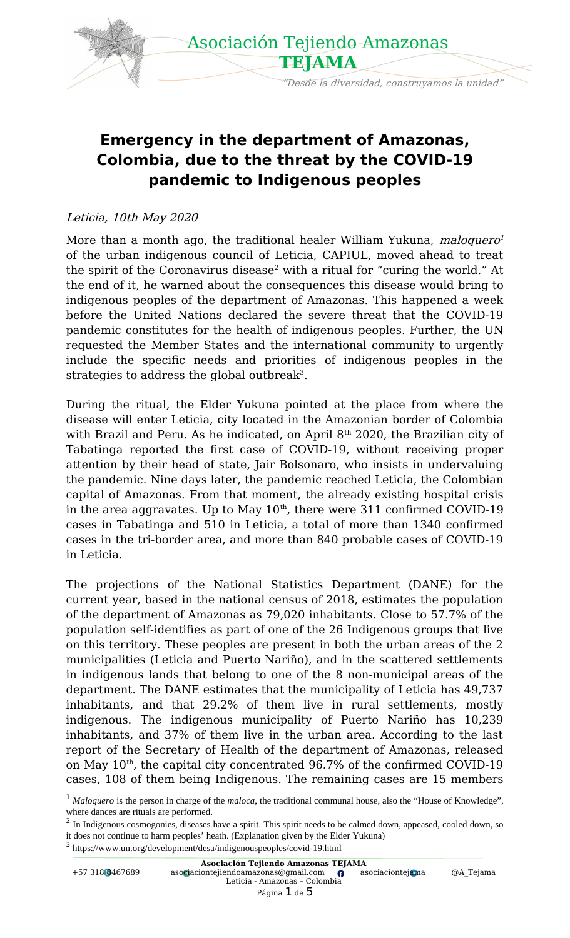

## **Emergency in the department of Amazonas, Colombia, due to the threat by the COVID-19 pandemic to Indigenous peoples**

#### Leticia, 10th May 2020

M[o](#page-0-0)re than a month ago, the traditional healer William Yukuna, *maloquero<sup>1</sup>* of the urban indigenous council of Leticia, CAPIUL, moved ahead to treat the spirit of the Coronavirus disease $^2$  $^2$  with a ritual for "curing the world." At the end of it, he warned about the consequences this disease would bring to indigenous peoples of the department of Amazonas. This happened a week before the United Nations declared the severe threat that the COVID-19 pandemic constitutes for the health of indigenous peoples. Further, the UN requested the Member States and the international community to urgently include the specific needs and priorities of indigenous peoples in the strategies to address the global outbreak<sup>[3](#page-0-2)</sup>.

During the ritual, the Elder Yukuna pointed at the place from where the disease will enter Leticia, city located in the Amazonian border of Colombia with Brazil and Peru. As he indicated, on April  $8<sup>th</sup>$  2020, the Brazilian city of Tabatinga reported the first case of COVID-19, without receiving proper attention by their head of state, Jair Bolsonaro, who insists in undervaluing the pandemic. Nine days later, the pandemic reached Leticia, the Colombian capital of Amazonas. From that moment, the already existing hospital crisis in the area aggravates. Up to May  $10^{th}$ , there were 311 confirmed COVID-19 cases in Tabatinga and 510 in Leticia, a total of more than 1340 confirmed cases in the tri-border area, and more than 840 probable cases of COVID-19 in Leticia.

The projections of the National Statistics Department (DANE) for the current year, based in the national census of 2018, estimates the population of the department of Amazonas as 79,020 inhabitants. Close to 57.7% of the population self-identifies as part of one of the 26 Indigenous groups that live on this territory. These peoples are present in both the urban areas of the 2 municipalities (Leticia and Puerto Nariño), and in the scattered settlements in indigenous lands that belong to one of the 8 non-municipal areas of the department. The DANE estimates that the municipality of Leticia has 49,737 inhabitants, and that 29.2% of them live in rural settlements, mostly indigenous. The indigenous municipality of Puerto Nariño has 10,239 inhabitants, and 37% of them live in the urban area. According to the last report of the Secretary of Health of the department of Amazonas, released on May  $10<sup>th</sup>$ , the capital city concentrated 96.7% of the confirmed COVID-19 cases, 108 of them being Indigenous. The remaining cases are 15 members

<span id="page-0-2"></span><sup>3</sup> <https://www.un.org/development/desa/indigenouspeoples/covid-19.html>

| Asociación Tejiendo Amazonas TEJAMA |                                      |                  |           |
|-------------------------------------|--------------------------------------|------------------|-----------|
| +57 318 8467689                     | asociaciontejiendoamazonas@gmail.com | asociaciontejama | @A Tejama |
|                                     | Leticia - Amazonas - Colombia        |                  |           |
|                                     |                                      |                  |           |

<span id="page-0-0"></span><sup>&</sup>lt;sup>1</sup> Maloquero is the person in charge of the *maloca*, the traditional communal house, also the "House of Knowledge", where dances are rituals are performed.

<span id="page-0-1"></span><sup>&</sup>lt;sup>2</sup> In Indigenous cosmogonies, diseases have a spirit. This spirit needs to be calmed down, appeased, cooled down, so it does not continue to harm peoples' heath. (Explanation given by the Elder Yukuna)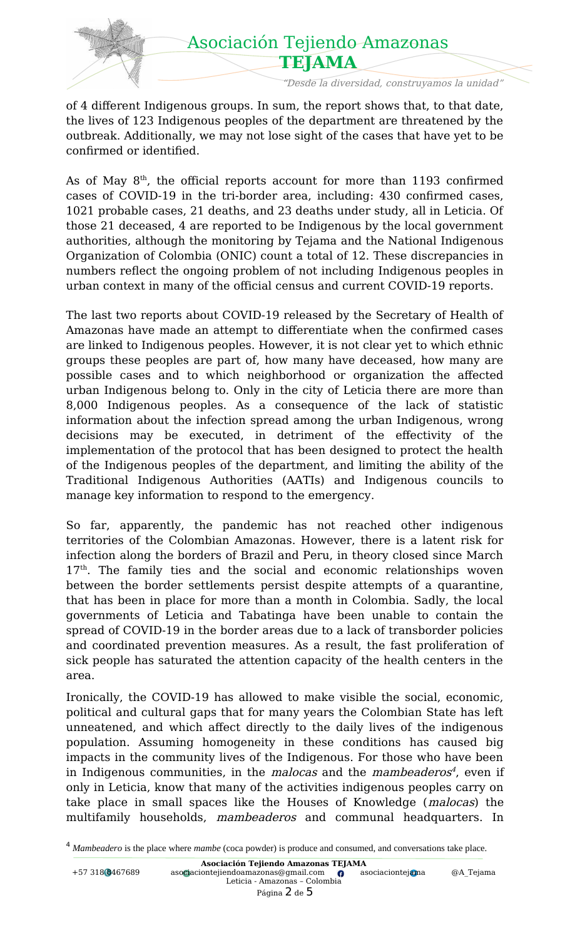

of 4 different Indigenous groups. In sum, the report shows that, to that date, the lives of 123 Indigenous peoples of the department are threatened by the outbreak. Additionally, we may not lose sight of the cases that have yet to be confirmed or identified.

As of May  $8<sup>th</sup>$ , the official reports account for more than 1193 confirmed cases of COVID-19 in the tri-border area, including: 430 confirmed cases, 1021 probable cases, 21 deaths, and 23 deaths under study, all in Leticia. Of those 21 deceased, 4 are reported to be Indigenous by the local government authorities, although the monitoring by Tejama and the National Indigenous Organization of Colombia (ONIC) count a total of 12. These discrepancies in numbers reflect the ongoing problem of not including Indigenous peoples in urban context in many of the official census and current COVID-19 reports.

The last two reports about COVID-19 released by the Secretary of Health of Amazonas have made an attempt to differentiate when the confirmed cases are linked to Indigenous peoples. However, it is not clear yet to which ethnic groups these peoples are part of, how many have deceased, how many are possible cases and to which neighborhood or organization the affected urban Indigenous belong to. Only in the city of Leticia there are more than 8,000 Indigenous peoples. As a consequence of the lack of statistic information about the infection spread among the urban Indigenous, wrong decisions may be executed, in detriment of the effectivity of the implementation of the protocol that has been designed to protect the health of the Indigenous peoples of the department, and limiting the ability of the Traditional Indigenous Authorities (AATIs) and Indigenous councils to manage key information to respond to the emergency.

So far, apparently, the pandemic has not reached other indigenous territories of the Colombian Amazonas. However, there is a latent risk for infection along the borders of Brazil and Peru, in theory closed since March  $17<sup>th</sup>$ . The family ties and the social and economic relationships woven between the border settlements persist despite attempts of a quarantine, that has been in place for more than a month in Colombia. Sadly, the local governments of Leticia and Tabatinga have been unable to contain the spread of COVID-19 in the border areas due to a lack of transborder policies and coordinated prevention measures. As a result, the fast proliferation of sick people has saturated the attention capacity of the health centers in the area.

Ironically, the COVID-19 has allowed to make visible the social, economic, political and cultural gaps that for many years the Colombian State has left unneatened, and which affect directly to the daily lives of the indigenous population. Assuming homogeneity in these conditions has caused big impacts in the community lives of the Indigenous. For those who have been in Indigenous communities, in the *malocas* and the *mambeaderos<sup>[4](#page-1-0)</sup>*, even if only in Leticia, know that many of the activities indigenous peoples carry on take place in small spaces like the Houses of Knowledge (*malocas*) the multifamily households, mambeaderos and communal headquarters. In

<span id="page-1-0"></span><sup>4</sup> *Mambeadero* is the place where *mambe* (coca powder) is produce and consumed, and conversations take place.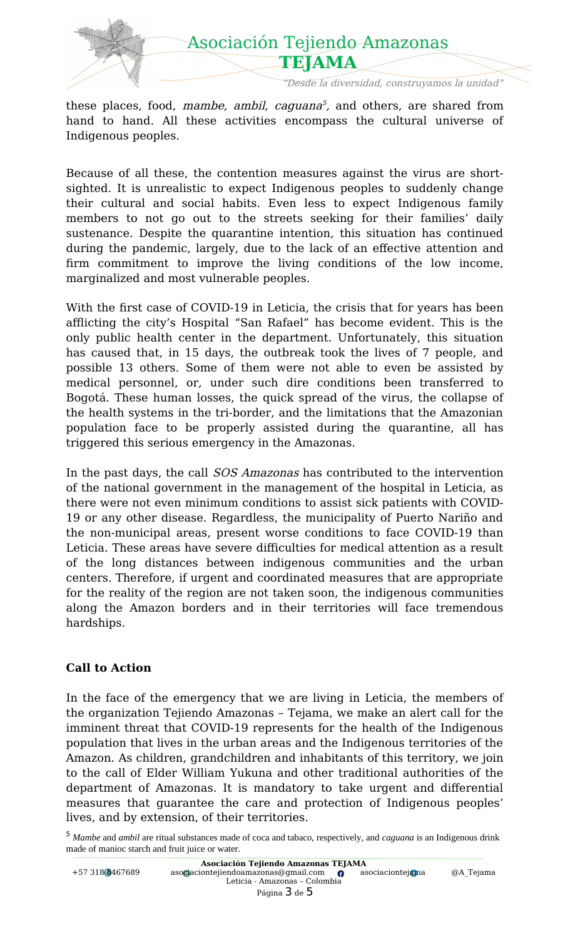

these places, food, *mambe, ambil, caguana<sup>[5](#page-2-0)</sup>,* and others, are shared from hand to hand. All these activities encompass the cultural universe of Indigenous peoples.

Because of all these, the contention measures against the virus are shortsighted. It is unrealistic to expect Indigenous peoples to suddenly change their cultural and social habits. Even less to expect Indigenous family members to not go out to the streets seeking for their families' daily sustenance. Despite the quarantine intention, this situation has continued during the pandemic, largely, due to the lack of an effective attention and firm commitment to improve the living conditions of the low income, marginalized and most vulnerable peoples.

With the first case of COVID-19 in Leticia, the crisis that for years has been afflicting the city's Hospital "San Rafael" has become evident. This is the only public health center in the department. Unfortunately, this situation has caused that, in 15 days, the outbreak took the lives of 7 people, and possible 13 others. Some of them were not able to even be assisted by medical personnel, or, under such dire conditions been transferred to Bogotá. These human losses, the quick spread of the virus, the collapse of the health systems in the tri-border, and the limitations that the Amazonian population face to be properly assisted during the quarantine, all has triggered this serious emergency in the Amazonas.

In the past days, the call SOS Amazonas has contributed to the intervention of the national government in the management of the hospital in Leticia, as there were not even minimum conditions to assist sick patients with COVID-19 or any other disease. Regardless, the municipality of Puerto Nariño and the non-municipal areas, present worse conditions to face COVID-19 than Leticia. These areas have severe difficulties for medical attention as a result of the long distances between indigenous communities and the urban centers. Therefore, if urgent and coordinated measures that are appropriate for the reality of the region are not taken soon, the indigenous communities along the Amazon borders and in their territories will face tremendous hardships.

#### **Call to Action**

In the face of the emergency that we are living in Leticia, the members of the organization Tejiendo Amazonas – Tejama, we make an alert call for the imminent threat that COVID-19 represents for the health of the Indigenous population that lives in the urban areas and the Indigenous territories of the Amazon. As children, grandchildren and inhabitants of this territory, we join to the call of Elder William Yukuna and other traditional authorities of the department of Amazonas. It is mandatory to take urgent and differential measures that guarantee the care and protection of Indigenous peoples' lives, and by extension, of their territories.

<span id="page-2-0"></span><sup>5</sup> *Mambe* and *ambil* are ritual substances made of coca and tabaco, respectively, and *caguana* is an Indigenous drink made of manioc starch and fruit juice or water.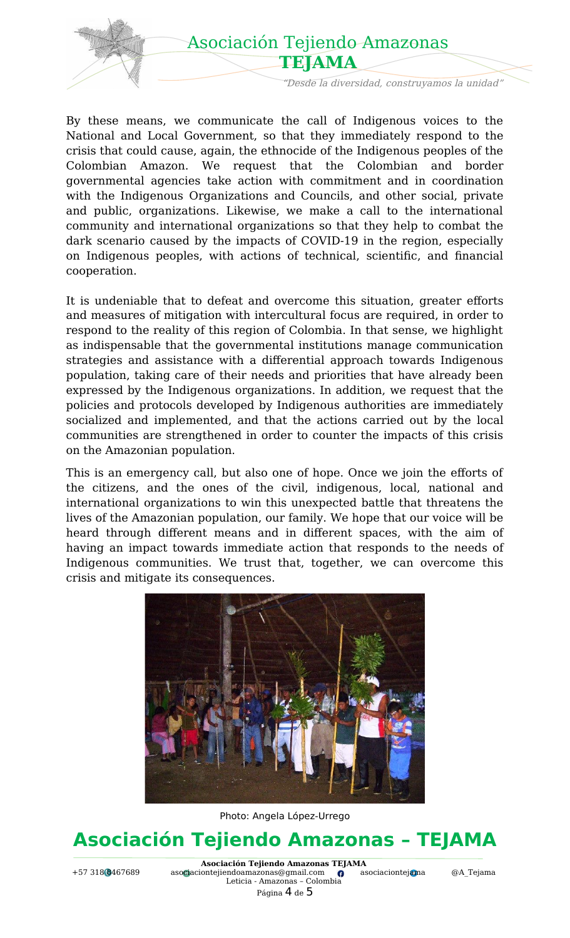

By these means, we communicate the call of Indigenous voices to the National and Local Government, so that they immediately respond to the crisis that could cause, again, the ethnocide of the Indigenous peoples of the Colombian Amazon. We request that the Colombian and border governmental agencies take action with commitment and in coordination with the Indigenous Organizations and Councils, and other social, private and public, organizations. Likewise, we make a call to the international community and international organizations so that they help to combat the dark scenario caused by the impacts of COVID-19 in the region, especially on Indigenous peoples, with actions of technical, scientific, and financial cooperation.

It is undeniable that to defeat and overcome this situation, greater efforts and measures of mitigation with intercultural focus are required, in order to respond to the reality of this region of Colombia. In that sense, we highlight as indispensable that the governmental institutions manage communication strategies and assistance with a differential approach towards Indigenous population, taking care of their needs and priorities that have already been expressed by the Indigenous organizations. In addition, we request that the policies and protocols developed by Indigenous authorities are immediately socialized and implemented, and that the actions carried out by the local communities are strengthened in order to counter the impacts of this crisis on the Amazonian population.

This is an emergency call, but also one of hope. Once we join the efforts of the citizens, and the ones of the civil, indigenous, local, national and international organizations to win this unexpected battle that threatens the lives of the Amazonian population, our family. We hope that our voice will be heard through different means and in different spaces, with the aim of having an impact towards immediate action that responds to the needs of Indigenous communities. We trust that, together, we can overcome this crisis and mitigate its consequences.



Photo: Angela López-Urrego

# **Asociación Tejiendo Amazonas – TEJAMA**

**Asociación Tejiendo Amazonas TEJAMA**<br>iontejiendoamazonas@gmail.com **O** asociaciontejama +57 318 8467689 [asociaciontejiendoamazonas@gmail.com](mailto:asociaciontejiendoamazonas@gmail.com) [asociaciontejama](about:blank) [@A\\_Tejama](https://twitter.com/A_Tejama) Leticia - Amazonas – Colombia Página 4 de 5